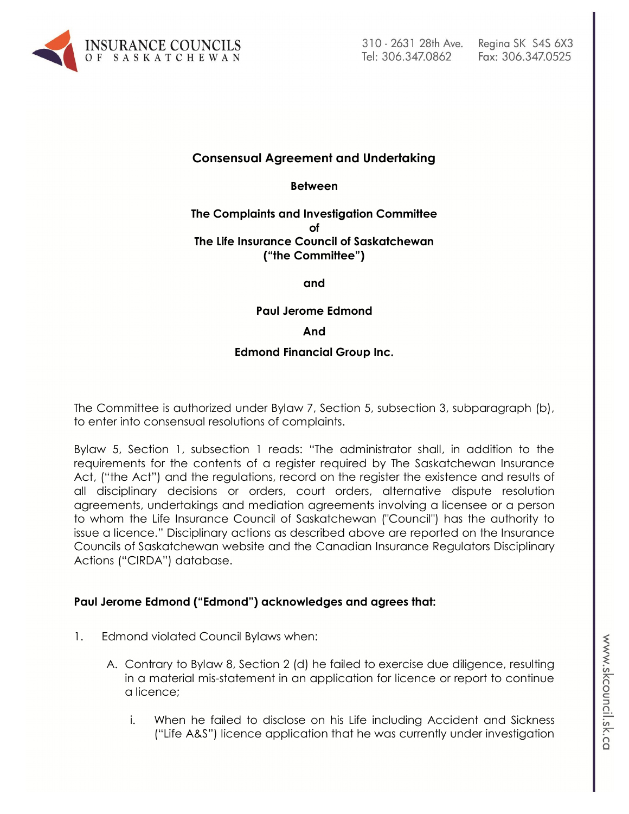

# **Consensual Agreement and Undertaking**

**Between**

#### **The Complaints and Investigation Committee of The Life Insurance Council of Saskatchewan ("the Committee")**

**and**

**Paul Jerome Edmond**

**And**

#### **Edmond Financial Group Inc.**

The Committee is authorized under Bylaw 7, Section 5, subsection 3, subparagraph (b), to enter into consensual resolutions of complaints.

Bylaw 5, Section 1, subsection 1 reads: "The administrator shall, in addition to the requirements for the contents of a register required by The Saskatchewan Insurance Act, ("the Act") and the regulations, record on the register the existence and results of all disciplinary decisions or orders, court orders, alternative dispute resolution agreements, undertakings and mediation agreements involving a licensee or a person to whom the Life Insurance Council of Saskatchewan ("Council") has the authority to issue a licence." Disciplinary actions as described above are reported on the Insurance Councils of Saskatchewan website and the Canadian Insurance Regulators Disciplinary Actions ("CIRDA") database.

## **Paul Jerome Edmond ("Edmond") acknowledges and agrees that:**

- 1. Edmond violated Council Bylaws when:
	- A. Contrary to Bylaw 8, Section 2 (d) he failed to exercise due diligence, resulting in a material mis-statement in an application for licence or report to continue a licence;
		- i. When he failed to disclose on his Life including Accident and Sickness ("Life A&S") licence application that he was currently under investigation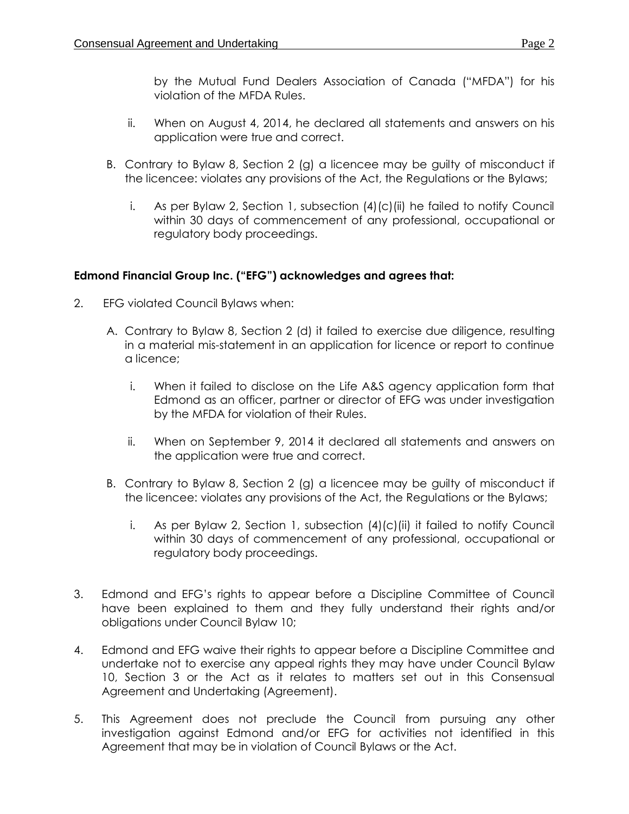by the Mutual Fund Dealers Association of Canada ("MFDA") for his violation of the MFDA Rules.

- ii. When on August 4, 2014, he declared all statements and answers on his application were true and correct.
- B. Contrary to Bylaw 8, Section 2 (g) a licencee may be guilty of misconduct if the licencee: violates any provisions of the Act, the Regulations or the Bylaws;
	- i. As per Bylaw 2, Section 1, subsection (4)(c)(ii) he failed to notify Council within 30 days of commencement of any professional, occupational or regulatory body proceedings.

# **Edmond Financial Group Inc. ("EFG") acknowledges and agrees that:**

- 2. EFG violated Council Bylaws when:
	- A. Contrary to Bylaw 8, Section 2 (d) it failed to exercise due diligence, resulting in a material mis-statement in an application for licence or report to continue a licence;
		- i. When it failed to disclose on the Life A&S agency application form that Edmond as an officer, partner or director of EFG was under investigation by the MFDA for violation of their Rules.
		- ii. When on September 9, 2014 it declared all statements and answers on the application were true and correct.
	- B. Contrary to Bylaw 8, Section 2 (g) a licencee may be guilty of misconduct if the licencee: violates any provisions of the Act, the Regulations or the Bylaws;
		- i. As per Bylaw 2, Section 1, subsection (4)(c)(ii) it failed to notify Council within 30 days of commencement of any professional, occupational or regulatory body proceedings.
- 3. Edmond and EFG's rights to appear before a Discipline Committee of Council have been explained to them and they fully understand their rights and/or obligations under Council Bylaw 10;
- 4. Edmond and EFG waive their rights to appear before a Discipline Committee and undertake not to exercise any appeal rights they may have under Council Bylaw 10, Section 3 or the Act as it relates to matters set out in this Consensual Agreement and Undertaking (Agreement).
- 5. This Agreement does not preclude the Council from pursuing any other investigation against Edmond and/or EFG for activities not identified in this Agreement that may be in violation of Council Bylaws or the Act.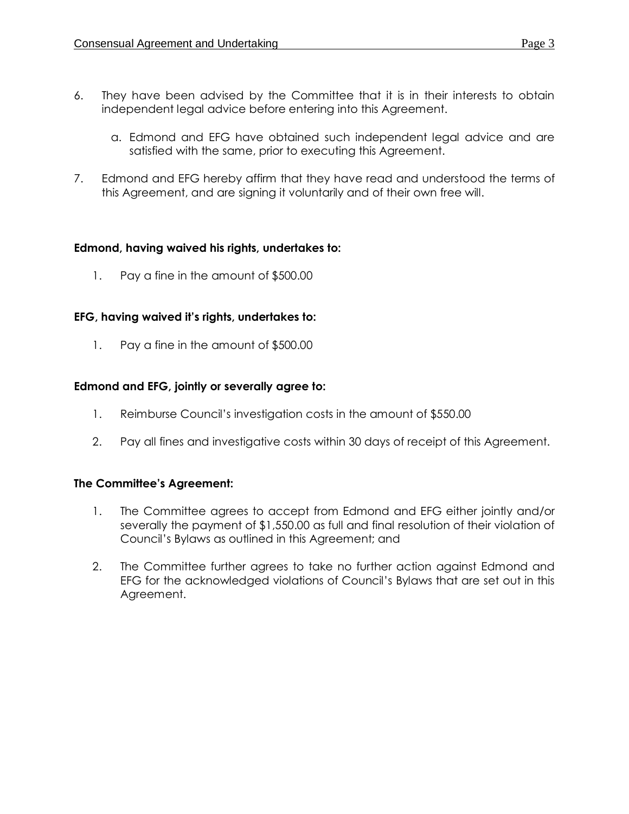- 6. They have been advised by the Committee that it is in their interests to obtain independent legal advice before entering into this Agreement.
	- a. Edmond and EFG have obtained such independent legal advice and are satisfied with the same, prior to executing this Agreement.
- 7. Edmond and EFG hereby affirm that they have read and understood the terms of this Agreement, and are signing it voluntarily and of their own free will.

## **Edmond, having waived his rights, undertakes to:**

1. Pay a fine in the amount of \$500.00

## **EFG, having waived it's rights, undertakes to:**

1. Pay a fine in the amount of \$500.00

## **Edmond and EFG, jointly or severally agree to:**

- 1. Reimburse Council's investigation costs in the amount of \$550.00
- 2. Pay all fines and investigative costs within 30 days of receipt of this Agreement.

#### **The Committee's Agreement:**

- 1. The Committee agrees to accept from Edmond and EFG either jointly and/or severally the payment of \$1,550.00 as full and final resolution of their violation of Council's Bylaws as outlined in this Agreement; and
- 2. The Committee further agrees to take no further action against Edmond and EFG for the acknowledged violations of Council's Bylaws that are set out in this Agreement.